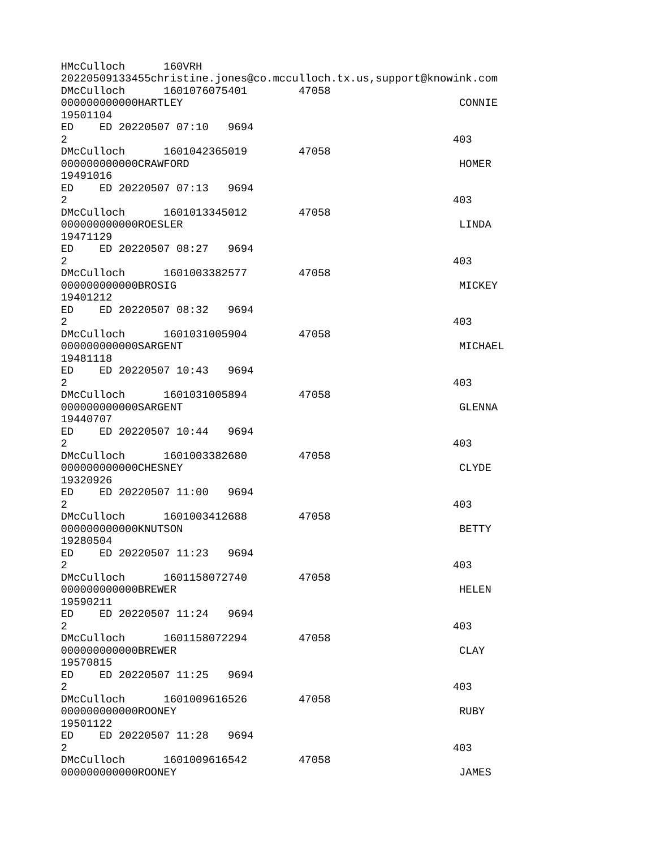HMcCulloch 160VRH 20220509133455christine.jones@co.mcculloch.tx.us,support@knowink.com DMcCulloch 1601076075401 47058 000000000000HARTLEY CONNIE 19501104 ED ED 20220507 07:10 9694  $2^{403}$ DMcCulloch 1601042365019 47058 000000000000CRAWFORD HOMER 19491016 ED ED 20220507 07:13 9694  $2^{403}$ DMcCulloch 1601013345012 47058 0000000000000ROESLER LINDA 19471129 ED ED 20220507 08:27 9694  $2^{403}$ DMcCulloch 1601003382577 47058 000000000000BROSIG MICKEY 19401212 ED ED 20220507 08:32 9694  $2^{403}$ DMcCulloch 1601031005904 47058 000000000000SARGENT MICHAEL 19481118 ED ED 20220507 10:43 9694  $2^{403}$ DMcCulloch 1601031005894 47058 000000000000SARGENT GLENNA 19440707 ED ED 20220507 10:44 9694  $2^{403}$ DMcCulloch 1601003382680 47058 000000000000CHESNEY CLYDE 19320926 ED ED 20220507 11:00 9694  $2^{403}$ DMcCulloch 1601003412688 47058 000000000000KNUTSON BETTY 19280504 ED ED 20220507 11:23 9694  $2^{403}$ DMcCulloch 1601158072740 47058 00000000000000BREWER HELEN HELEN 19590211 ED ED 20220507 11:24 9694  $2^{403}$ DMcCulloch 1601158072294 47058 000000000000BREWER CLAY 19570815 ED ED 20220507 11:25 9694  $2^{403}$ DMcCulloch 1601009616526 47058 000000000000ROONEY RUBY 19501122 ED ED 20220507 11:28 9694  $2^{403}$ DMcCulloch 1601009616542 47058 000000000000ROONEY JAMES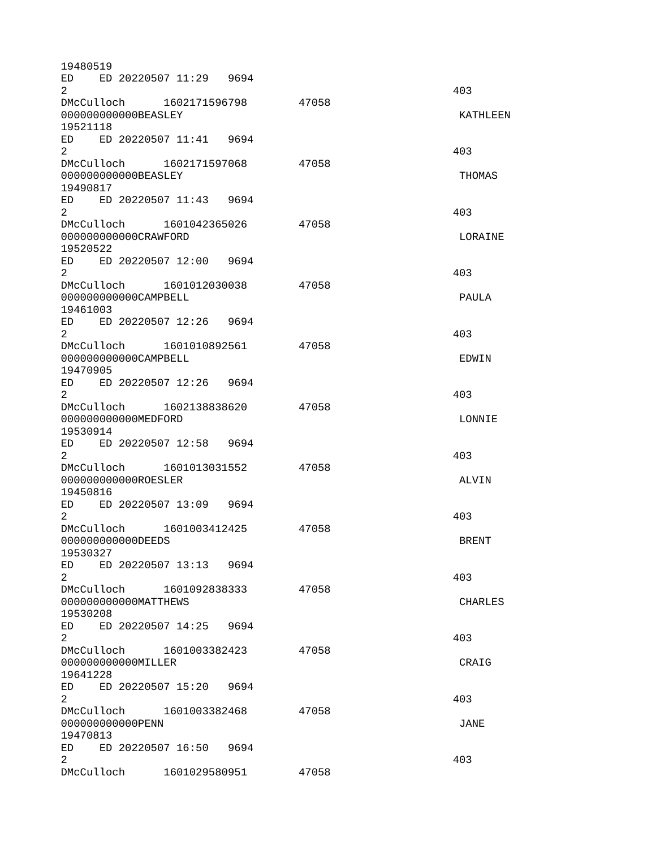19480519 ED ED 20220507 11:29 9694  $2^{403}$ DMcCulloch 1602171596798 47058 000000000000BEASLEY KATHLEEN 19521118 ED ED 20220507 11:41 9694  $2^{403}$ DMcCulloch 1602171597068 47058 000000000000BEASLEY THOMAS 19490817 ED ED 20220507 11:43 9694  $2^{403}$ DMcCulloch 1601042365026 47058 000000000000CRAWFORD LORAINE 19520522 ED ED 20220507 12:00 9694  $2^{403}$ DMcCulloch 1601012030038 47058 0000000000000CAMPBELL PAULA 19461003 ED ED 20220507 12:26 9694  $2^{403}$ DMcCulloch 1601010892561 47058 000000000000CAMPBELL EDWIN 19470905 ED ED 20220507 12:26 9694  $2^{403}$ DMcCulloch 1602138838620 47058 000000000000MEDFORD LONNIE 19530914 ED ED 20220507 12:58 9694  $2^{403}$ DMcCulloch 1601013031552 47058 0000000000000ROESLER ALVIN 19450816 ED ED 20220507 13:09 9694  $2^{403}$ DMcCulloch 1601003412425 47058 000000000000DEEDS BRENT 19530327 ED ED 20220507 13:13 9694  $2^{403}$ DMcCulloch 1601092838333 47058 000000000000MATTHEWS CHARLES 19530208 ED ED 20220507 14:25 9694  $2^{403}$ DMcCulloch 1601003382423 47058 000000000000MILLER CRAIG 19641228 ED ED 20220507 15:20 9694  $2^{403}$ DMcCulloch 1601003382468 47058 000000000000PENN JANE 19470813 ED ED 20220507 16:50 9694  $2^{403}$ DMcCulloch 1601029580951 47058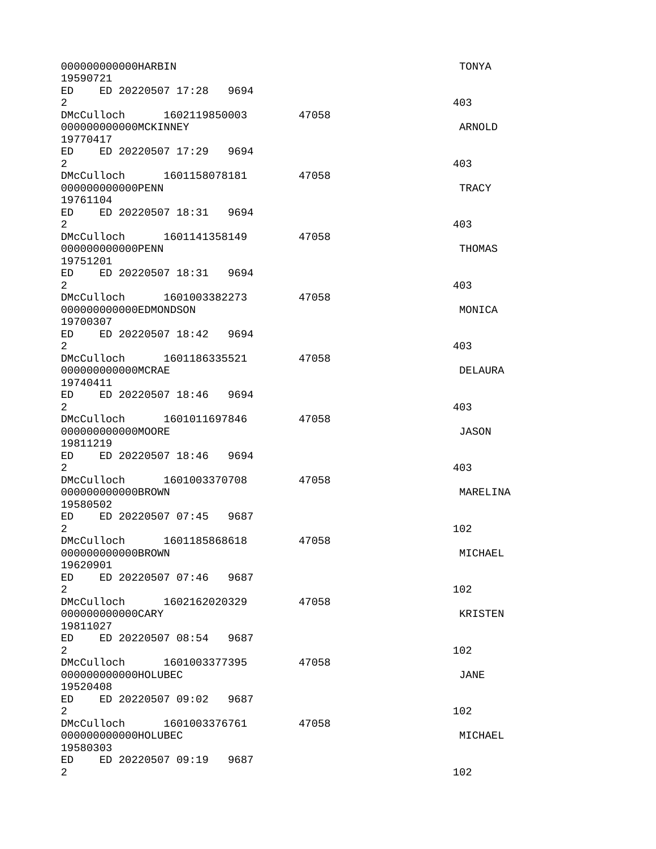0000000000000HARBIN 700YA 750YA 750YA 750YA 750YA 750YA 750YA 750YA 750YA 750YA 750YA 750YA 750YA 750YA 750YA 19590721 ED ED 20220507 17:28 9694  $2^{403}$ DMcCulloch 1602119850003 47058 00000000000000MCKINNEY ARNOLD 19770417 ED ED 20220507 17:29 9694  $2^{403}$ DMcCulloch 1601158078181 47058 0000000000000PENN 7RACY 19761104 ED ED 20220507 18:31 9694  $2^{403}$ DMcCulloch 1601141358149 47058 0000000000000PENN THOMAS 19751201 ED ED 20220507 18:31 9694  $2^{403}$ DMcCulloch 1601003382273 47058 000000000000EDMONDSON NONTCA 19700307 ED ED 20220507 18:42 9694  $2^{403}$ DMcCulloch 1601186335521 47058 000000000000MCRAE DELAURA 19740411 ED ED 20220507 18:46 9694  $2^{403}$ DMcCulloch 1601011697846 47058 000000000000MOORE JASON 19811219 ED ED 20220507 18:46 9694  $2^{403}$ DMcCulloch 1601003370708 47058 000000000000BROWN MARELINA 19580502 ED ED 20220507 07:45 9687  $2 \times 102$ DMcCulloch 1601185868618 47058 000000000000BROWN MICHAEL 19620901 ED ED 20220507 07:46 9687  $2 \times 102$ DMcCulloch 1602162020329 47058 000000000000CARY KRISTEN 19811027 ED ED 20220507 08:54 9687  $2 \t 102$ DMcCulloch 1601003377395 47058 000000000000HOLUBEC JANE 19520408 ED ED 20220507 09:02 9687  $2 \times 102$ DMcCulloch 1601003376761 47058 000000000000HOLUBEC MICHAEL 19580303 ED ED 20220507 09:19 9687  $2 \t 102$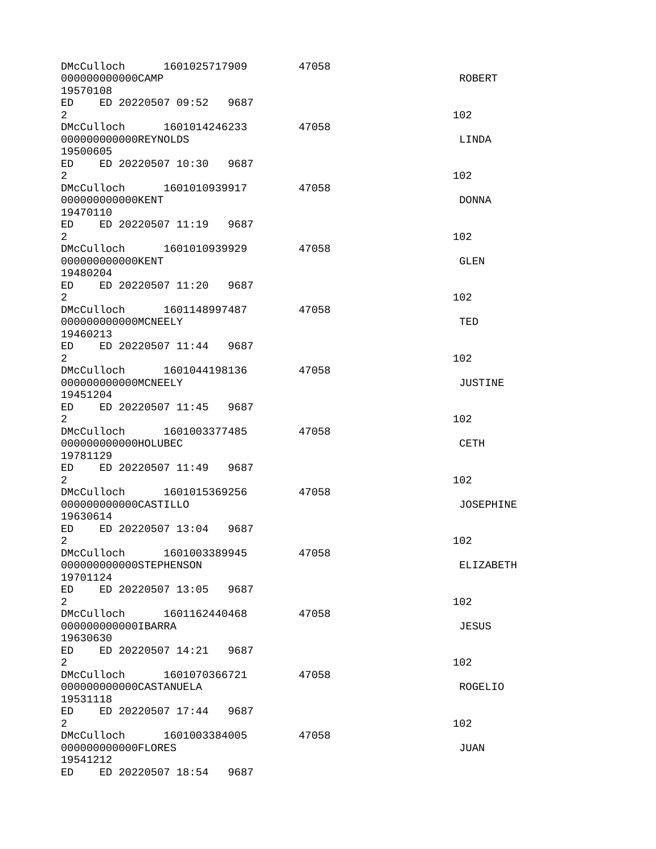| DMcCulloch<br>000000000000CAMP<br>19570108                                                                                                                                                                                     | 1601025717909          |      | 47058 | <b>ROBERT</b>    |
|--------------------------------------------------------------------------------------------------------------------------------------------------------------------------------------------------------------------------------|------------------------|------|-------|------------------|
| ED ED 20220507 09:52 9687<br>$\overline{2}$                                                                                                                                                                                    |                        |      |       | 102              |
| DMcCulloch 1601014246233<br>000000000000REYNOLDS<br>19500605                                                                                                                                                                   |                        |      | 47058 | LINDA            |
| ED ED 20220507 10:30 9687<br>$\overline{2}$                                                                                                                                                                                    |                        |      |       | 102              |
| DMcCulloch 1601010939917<br>00000000000KENT<br>19470110                                                                                                                                                                        |                        |      | 47058 | <b>DONNA</b>     |
| ED ED 20220507 11:19 9687<br>$\overline{2}$                                                                                                                                                                                    |                        |      |       | 102              |
| DMcCulloch<br>00000000000KENT<br>19480204                                                                                                                                                                                      | 1601010939929          |      | 47058 | <b>GLEN</b>      |
| ED<br>ED 20220507 11:20 9687<br>2                                                                                                                                                                                              |                        |      |       | 102              |
| DMcCulloch 1601148997487<br>000000000000MCNEELY<br>19460213                                                                                                                                                                    |                        |      | 47058 | TED              |
| ED ED 20220507 11:44 9687<br>$\overline{2}$                                                                                                                                                                                    |                        |      |       | 102              |
| DMcCulloch 1601044198136<br>000000000000MCNEELY<br>19451204                                                                                                                                                                    |                        |      | 47058 | <b>JUSTINE</b>   |
| ED ED 20220507 11:45 9687<br>$\overline{2}$                                                                                                                                                                                    |                        |      |       | 102              |
| DMcCulloch 1601003377485<br>000000000000HOLUBEC<br>19781129                                                                                                                                                                    |                        |      | 47058 | <b>CETH</b>      |
| ED 20220507 11:49 9687<br>ED<br>$\overline{2}$                                                                                                                                                                                 |                        |      |       | 102              |
| DMcCulloch 1601015369256<br>000000000000CASTILL0<br>19630614                                                                                                                                                                   |                        |      | 47058 | <b>JOSEPHINE</b> |
| ED.<br>$2^{\circ}$                                                                                                                                                                                                             | ED 20220507 13:04 9687 |      |       | 102              |
| DMcCulloch<br>000000000000STEPHENSON<br>19701124                                                                                                                                                                               | 1601003389945          |      | 47058 | <b>ELIZABETH</b> |
| ED<br>ED 20220507 13:05 9687<br>$\overline{2}$                                                                                                                                                                                 |                        |      |       | 102              |
| DMcCulloch 1601162440468<br>000000000000IBARRA<br>19630630                                                                                                                                                                     |                        |      | 47058 | <b>JESUS</b>     |
| ED<br>ED 20220507 14:21 9687<br>$\overline{2}$                                                                                                                                                                                 |                        |      |       | 102              |
| DMcCulloch<br>000000000000CASTANUELA<br>19531118                                                                                                                                                                               | 1601070366721          |      | 47058 | ROGELIO          |
| ED ED 20220507 17:44<br>2                                                                                                                                                                                                      |                        | 9687 |       | 102              |
| DMcCulloch 1601003384005<br>00000000000FL0RES<br>19541212                                                                                                                                                                      |                        |      | 47058 | <b>JUAN</b>      |
| ED and the set of the set of the set of the set of the set of the set of the set of the set of the set of the set of the set of the set of the set of the set of the set of the set of the set of the set of the set of the se | ED 20220507 18:54      | 9687 |       |                  |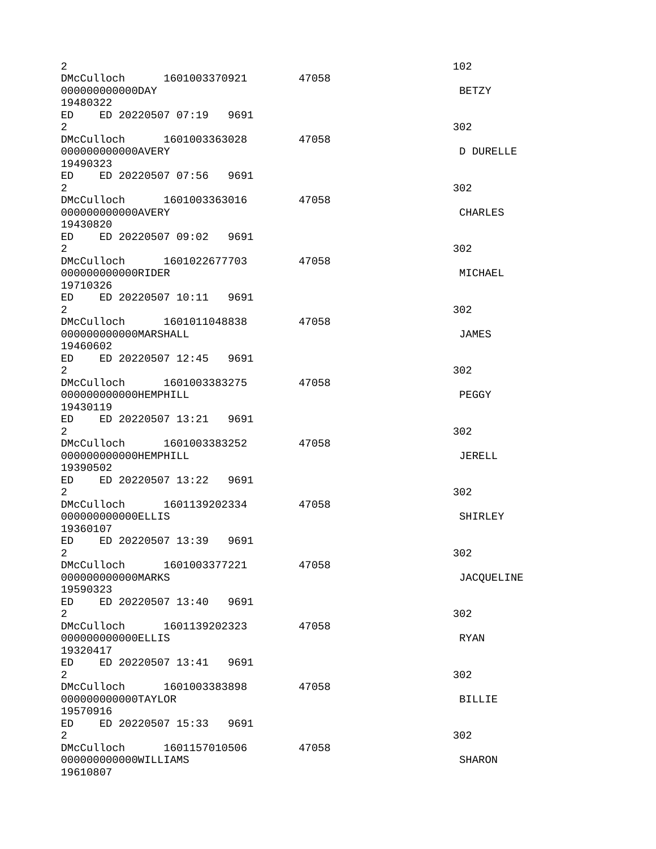$2 \times 102$ DMcCulloch 1601003370921 47058 000000000000DAY BETZY 19480322 ED ED 20220507 07:19 9691  $2\overline{)}$ DMcCulloch 1601003363028 47058 000000000000AVERY DURELLE 19490323 ED ED 20220507 07:56 9691  $2 \times 302$ DMcCulloch 1601003363016 47058 000000000000AVERY CHARLES 19430820 ED ED 20220507 09:02 9691  $2 \times 302$ DMcCulloch 1601022677703 47058 000000000000RIDER MICHAEL 19710326 ED ED 20220507 10:11 9691  $2\overline{)}$ DMcCulloch 1601011048838 47058 000000000000MARSHALL JAMES 19460602 ED ED 20220507 12:45 9691  $2 \times 302$ DMcCulloch 1601003383275 47058 000000000000HEMPHILL PEGGY 19430119 ED ED 20220507 13:21 9691  $2\overline{)}$  302 DMcCulloch 1601003383252 47058 000000000000HEMPHILL JERELL 19390502 ED ED 20220507 13:22 9691  $2\overline{)}$ DMcCulloch 1601139202334 47058 000000000000ELLIS SHIRLEY 19360107 ED ED 20220507 13:39 9691  $2 \times 302$ DMcCulloch 1601003377221 47058 000000000000MARKS JACQUELINE 19590323 ED ED 20220507 13:40 9691  $2 \times 302$ DMcCulloch 1601139202323 47058 000000000000ELLIS RYAN 19320417 ED ED 20220507 13:41 9691  $2\overline{)}$ DMcCulloch 1601003383898 47058 000000000000TAYLOR BILLIE 19570916 ED ED 20220507 15:33 9691  $2 \times 302$ DMcCulloch 1601157010506 47058 000000000000WILLIAMS SHARON 19610807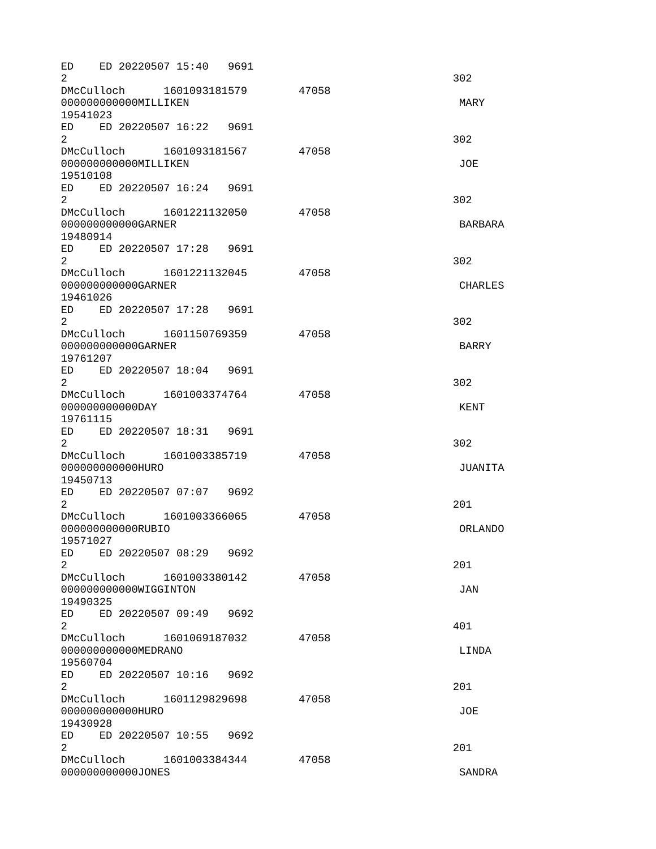ED ED 20220507 15:40 9691  $2\overline{)}$ DMcCulloch 1601093181579 47058 000000000000MILLIKEN MARY 19541023 ED ED 20220507 16:22 9691  $2 \times 302$ DMcCulloch 1601093181567 47058 00000000000000MILLIKEN 30E 19510108 ED ED 20220507 16:24 9691  $2 \times 302$ DMcCulloch 1601221132050 47058 000000000000GARNER BARBARA 19480914 ED ED 20220507 17:28 9691  $2\overline{)}$ DMcCulloch 1601221132045 47058 000000000000GARNER CHARLES CHARLES 19461026 ED ED 20220507 17:28 9691  $2 \times 302$ DMcCulloch 1601150769359 47058 000000000000GARNER BARRY 19761207 ED ED 20220507 18:04 9691  $2\overline{)}$  302 DMcCulloch 1601003374764 47058 000000000000DAY KENT 19761115 ED ED 20220507 18:31 9691  $2\overline{)}$ DMcCulloch 1601003385719 47058 000000000000HURO JUANITA 19450713 ED ED 20220507 07:07 9692  $2<sup>2</sup>$ DMcCulloch 1601003366065 47058 000000000000RUBIO ORLANDO 19571027 ED ED 20220507 08:29 9692  $2<sup>2</sup>$ DMcCulloch 1601003380142 47058 000000000000WIGGINTON JAN 19490325 ED ED 20220507 09:49 9692  $2 \times 401$ DMcCulloch 1601069187032 47058 000000000000MEDRANO LINDA 19560704 ED ED 20220507 10:16 9692  $2<sup>2</sup>$ DMcCulloch 1601129829698 47058 000000000000HURO JOE 19430928 ED ED 20220507 10:55 9692 2 and  $\overline{201}$ DMcCulloch 1601003384344 47058 000000000000JONES SANDRA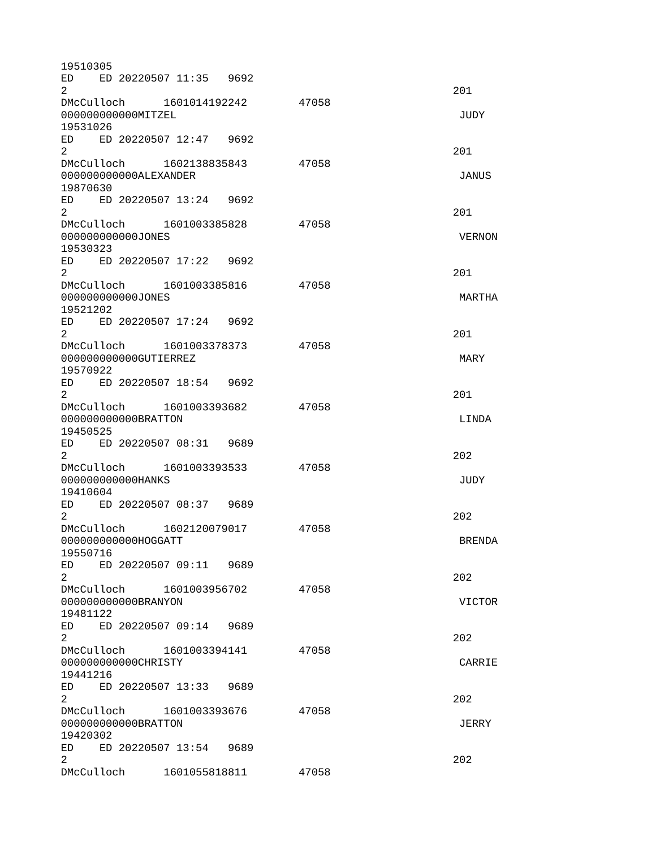19510305 ED ED 20220507 11:35 9692  $2<sup>2</sup>$ DMcCulloch 1601014192242 47058 000000000000MITZEL JUDY 19531026 ED ED 20220507 12:47 9692  $2<sup>2</sup>$ DMcCulloch 1602138835843 47058 000000000000ALEXANDER JANUS 19870630 ED ED 20220507 13:24 9692 2 and  $\overline{201}$ DMcCulloch 1601003385828 47058 000000000000JONES VERNON 19530323 ED ED 20220507 17:22 9692  $2<sup>2</sup>$ DMcCulloch 1601003385816 47058 000000000000JONES MARTHA 19521202 ED ED 20220507 17:24 9692  $2<sup>2</sup>$ DMcCulloch 1601003378373 47058 000000000000GUTIERREZ MARY 19570922 ED ED 20220507 18:54 9692 2 and  $\overline{201}$ DMcCulloch 1601003393682 47058 000000000000BRATTON LINDA 19450525 ED ED 20220507 08:31 9689  $2^{\circ}$ DMcCulloch 1601003393533 47058 000000000000HANKS JUDY 19410604 ED ED 20220507 08:37 9689  $2^{\circ}$ DMcCulloch 1602120079017 47058 000000000000HOGGATT BRENDA 19550716 ED ED 20220507 09:11 9689  $2^{\circ}$ DMcCulloch 1601003956702 47058 000000000000BRANYON VICTOR 19481122 ED ED 20220507 09:14 9689  $2^{\circ}$ DMcCulloch 1601003394141 47058 000000000000CHRISTY CARRIE 19441216 ED ED 20220507 13:33 9689  $2^{\circ}$ DMcCulloch 1601003393676 47058 000000000000BRATTON JERRY 19420302 ED ED 20220507 13:54 9689  $2^{\circ}$ DMcCulloch 1601055818811 47058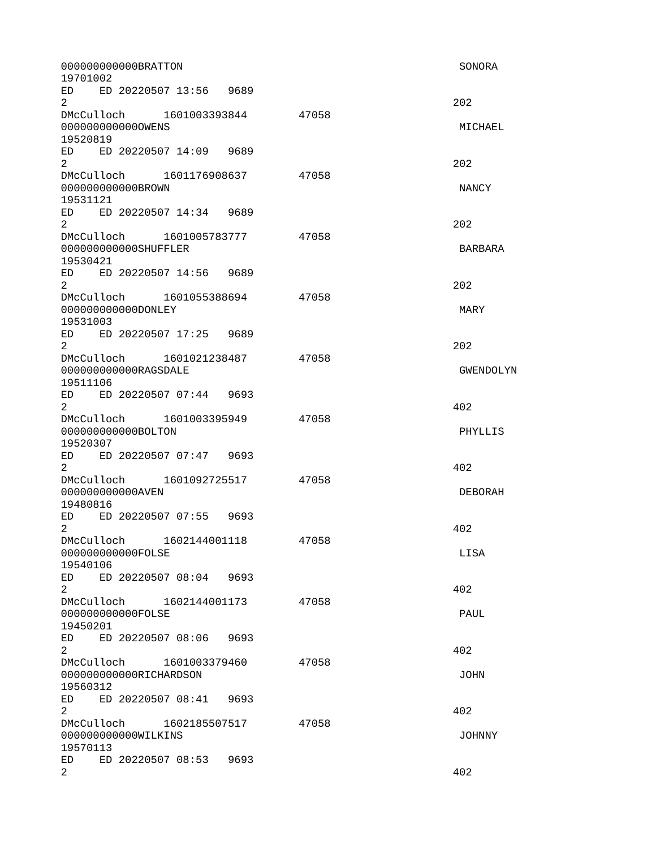000000000000BRATTON SONORA 19701002 ED ED 20220507 13:56 9689  $2^{\circ}$ DMcCulloch 1601003393844 47058 000000000000OWENS MICHAEL 19520819 ED ED 20220507 14:09 9689  $2^{\circ}$ DMcCulloch 1601176908637 47058 0000000000000BROWN NANCY 19531121 ED ED 20220507 14:34 9689  $2^{\circ}$ DMcCulloch 1601005783777 47058 000000000000SHUFFLER BARBARA 19530421 ED ED 20220507 14:56 9689  $2^{\circ}$ DMcCulloch 1601055388694 47058 000000000000DONLEY MARY 19531003 ED ED 20220507 17:25 9689  $2^{\circ}$ DMcCulloch 1601021238487 47058 0000000000000RAGSDALE and the control of the control of the control of the control of the control of the control of the control of the control of the control of the control of the control of the control of the control of t 19511106 ED ED 20220507 07:44 9693  $2^{402}$ DMcCulloch 1601003395949 47058 000000000000BOLTON PHYLLIS 19520307 ED ED 20220507 07:47 9693  $2^{402}$ DMcCulloch 1601092725517 47058 0000000000000AVEN DEBORAH 19480816 ED ED 20220507 07:55 9693  $2^{402}$ DMcCulloch 1602144001118 47058 000000000000FOLSE LISA 19540106 ED ED 20220507 08:04 9693  $2^{402}$ DMcCulloch 1602144001173 47058 000000000000FOLSE PAUL 19450201 ED ED 20220507 08:06 9693  $2^{402}$ DMcCulloch 1601003379460 47058 000000000000RICHARDSON JOHN 19560312 ED ED 20220507 08:41 9693  $2^{402}$ DMcCulloch 1602185507517 47058 000000000000WILKINS JOHNNY 19570113 ED ED 20220507 08:53 9693  $2^{402}$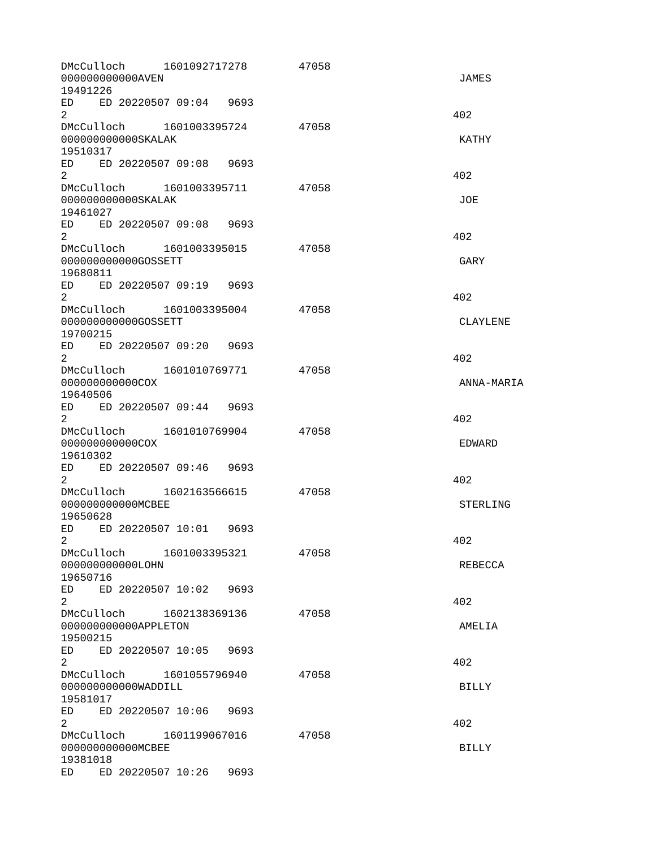| DMcCulloch  1601092717278<br>00000000000AVEN<br>19491226                                                                                                                                                                                            |      | 47058 | <b>JAMES</b>    |
|-----------------------------------------------------------------------------------------------------------------------------------------------------------------------------------------------------------------------------------------------------|------|-------|-----------------|
| ED ED 20220507 09:04 9693<br>$\overline{2}$                                                                                                                                                                                                         |      |       | 402             |
| DMcCulloch  1601003395724<br>000000000000SKALAK<br>19510317                                                                                                                                                                                         |      | 47058 | <b>KATHY</b>    |
| ED ED 20220507 09:08 9693<br>2 <sup>1</sup>                                                                                                                                                                                                         |      |       | 402             |
| 000000000000SKALAK<br>19461027                                                                                                                                                                                                                      |      | 47058 | JOE             |
| ED ED 20220507 09:08 9693<br>$\overline{2}$                                                                                                                                                                                                         |      |       | 402             |
| DMcCulloch 1601003395015 47058<br>000000000000G0SSETT<br>19680811                                                                                                                                                                                   |      |       | GARY            |
| ED ED 20220507 09:19 9693<br>$\overline{2}$                                                                                                                                                                                                         |      |       | 402             |
| DMcCulloch 1601003395004<br>000000000000GOSSETT<br>19700215                                                                                                                                                                                         |      | 47058 | <b>CLAYLENE</b> |
| ED ED 20220507 09:20 9693<br>$\mathbf{2}^{\prime}$                                                                                                                                                                                                  |      |       | 402             |
| DMcCulloch  1601010769771<br>000000000000C0X<br>19640506                                                                                                                                                                                            |      | 47058 | ANNA-MARIA      |
| ED ED 20220507 09:44 9693<br>$\overline{2}$                                                                                                                                                                                                         |      |       | 402             |
| DMcCulloch 1601010769904<br>000000000000C0X<br>19610302                                                                                                                                                                                             |      | 47058 | <b>EDWARD</b>   |
| ED ED 20220507 09:46 9693<br>$\overline{2}$                                                                                                                                                                                                         |      |       | 402             |
| DMcCulloch 1602163566615 47058<br>00000000000MCBEE<br>19650628                                                                                                                                                                                      |      |       | <b>STERLING</b> |
| ED ED 20220507 10:01 9693<br>2                                                                                                                                                                                                                      |      |       | 402             |
| DMcCulloch 1601003395321<br>000000000000L0HN<br>19650716                                                                                                                                                                                            |      | 47058 | <b>REBECCA</b>  |
| ED<br>ED 20220507 10:02 9693<br>2                                                                                                                                                                                                                   |      |       | 402             |
| DMcCulloch 1602138369136<br>000000000000APPLET0N<br>19500215                                                                                                                                                                                        |      | 47058 | AMELIA          |
| ED ED 20220507 10:05<br>$\overline{2}$                                                                                                                                                                                                              | 9693 |       | 402             |
| DMcCulloch 1601055796940<br>000000000000WADDILL<br>19581017                                                                                                                                                                                         |      | 47058 | <b>BILLY</b>    |
| ED ED 20220507 10:06<br>$\mathbf{2}$                                                                                                                                                                                                                | 9693 |       | 402             |
| DMcCulloch 1601199067016<br>00000000000MCBEE<br>19381018                                                                                                                                                                                            |      | 47058 | <b>BILLY</b>    |
| ED 20220507 10:26<br>ED and the set of the set of the set of the set of the set of the set of the set of the set of the set of the set of the set of the set of the set of the set of the set of the set of the set of the set of the set of the se | 9693 |       |                 |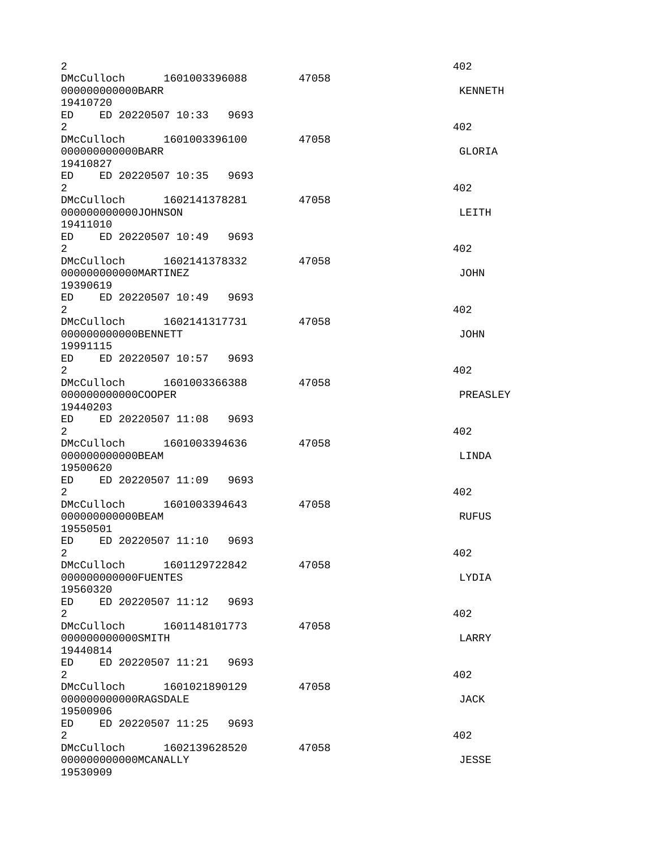| $\overline{2}$<br>DMcCulloch 1601003396088<br>00000000000BARR                                                                                                                                                                                                                                                                                 | 47058 | 402<br><b>KENNETH</b> |
|-----------------------------------------------------------------------------------------------------------------------------------------------------------------------------------------------------------------------------------------------------------------------------------------------------------------------------------------------|-------|-----------------------|
| 19410720<br>ED ED 20220507 10:33 9693<br>$\overline{2}$<br>DMcCulloch 1601003396100<br>00000000000BARR<br>19410827                                                                                                                                                                                                                            | 47058 | 402<br>GLORIA         |
| ED ED 20220507 10:35 9693<br>2 <sup>1</sup><br>DMcCulloch 1602141378281<br>000000000000J0HNSON<br>19411010                                                                                                                                                                                                                                    | 47058 | 402<br>LEITH          |
| ED ED 20220507 10:49 9693<br>2<br>DMcCulloch 1602141378332<br>00000000000MARTINEZ<br>19390619                                                                                                                                                                                                                                                 | 47058 | 402<br><b>JOHN</b>    |
| ED ED 20220507 10:49 9693<br>$\overline{2}$<br>DMcCulloch 1602141317731<br>000000000000BENNETT<br>19991115<br>ED ED 20220507 10:57 9693                                                                                                                                                                                                       | 47058 | 402<br><b>JOHN</b>    |
| 2<br>DMcCulloch 1601003366388<br>000000000000C00PER<br>19440203<br>ED ED 20220507 11:08 9693                                                                                                                                                                                                                                                  | 47058 | 402<br>PREASLEY       |
| $\overline{2}$<br>DMcCulloch 1601003394636<br>000000000000BEAM<br>19500620<br>ED ED 20220507 11:09 9693                                                                                                                                                                                                                                       | 47058 | 402<br>LINDA          |
| 2<br>DMcCulloch 1601003394643<br>00000000000BEAM<br>19550501<br>ED ED 20220507 11:10 9693                                                                                                                                                                                                                                                     | 47058 | 402<br><b>RUFUS</b>   |
| 2<br>DMcCulloch<br>1601129722842<br>00000000000FUENTES<br>19560320<br>ED<br>ED 20220507 11:12 9693                                                                                                                                                                                                                                            | 47058 | 402<br>LYDIA          |
| $\overline{2}$<br>DMcCulloch 1601148101773<br>000000000000SMITH<br>19440814<br>ED ED 20220507 11:21 9693                                                                                                                                                                                                                                      | 47058 | 402<br>LARRY          |
| $2^{\circ}$<br>DMcCulloch<br>1601021890129<br>000000000000RAGSDALE<br>19500906<br>ED 20220507 11:25<br>ED and the set of the set of the set of the set of the set of the set of the set of the set of the set of the set of the set of the set of the set of the set of the set of the set of the set of the set of the set of the se<br>9693 | 47058 | 402<br><b>JACK</b>    |
| $\overline{2}$<br>DMcCulloch 1602139628520<br>000000000000MCANALLY<br>19530909                                                                                                                                                                                                                                                                | 47058 | 402.<br><b>JESSE</b>  |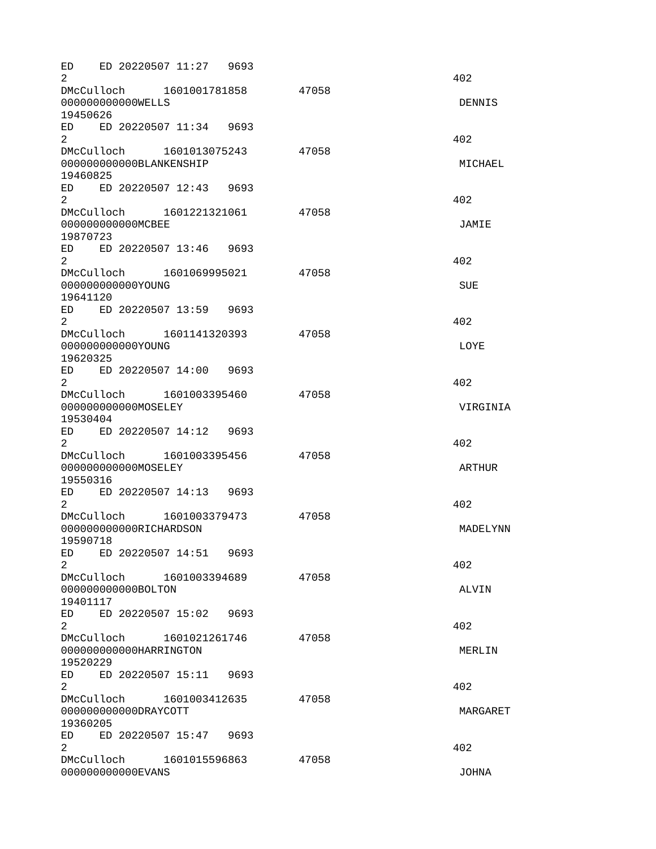ED ED 20220507 11:27 9693  $2^{402}$ DMcCulloch 1601001781858 47058 000000000000WELLS DENNIS 19450626 ED ED 20220507 11:34 9693  $2^{402}$ DMcCulloch 1601013075243 47058 000000000000BLANKENSHIP MICHAEL 19460825 ED ED 20220507 12:43 9693  $2^{402}$ DMcCulloch 1601221321061 47058 000000000000MCBEE JAMIE 19870723 ED ED 20220507 13:46 9693  $2^{402}$ DMcCulloch 1601069995021 47058 0000000000000YOUNG SUE SUE SUE SUE SUE SUE SUE 19641120 ED ED 20220507 13:59 9693  $2^{402}$ DMcCulloch 1601141320393 47058 000000000000YOUNG LOYE 19620325 ED ED 20220507 14:00 9693  $2^{402}$ DMcCulloch 1601003395460 47058 000000000000MOSELEY VIRGINIA 19530404 ED ED 20220507 14:12 9693  $2^{402}$ DMcCulloch 1601003395456 47058 00000000000000000000ELEY ARTHUR 19550316 ED ED 20220507 14:13 9693  $2^{402}$ DMcCulloch 1601003379473 47058 000000000000RICHARDSON MADELYNN 19590718 ED ED 20220507 14:51 9693  $2^{402}$ DMcCulloch 1601003394689 47058 000000000000BOLTON ALVIN 19401117 ED ED 20220507 15:02 9693  $2^{402}$ DMcCulloch 1601021261746 47058 000000000000HARRINGTON MERLIN 19520229 ED ED 20220507 15:11 9693  $2^{402}$ DMcCulloch 1601003412635 47058 000000000000DRAYCOTT MARGARET 19360205 ED ED 20220507 15:47 9693  $2^{402}$ DMcCulloch 1601015596863 47058 000000000000EVANS JOHNA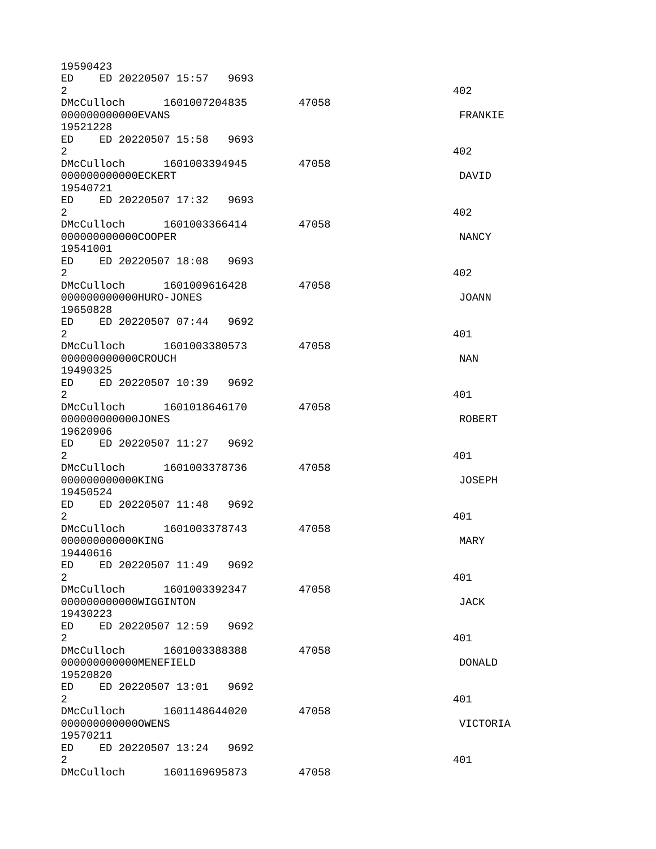19590423 ED ED 20220507 15:57 9693  $2^{402}$ DMcCulloch 1601007204835 47058 000000000000EVANS FRANKIE 19521228 ED ED 20220507 15:58 9693  $2^{402}$ DMcCulloch 1601003394945 47058 000000000000ECKERT DAVID 19540721 ED ED 20220507 17:32 9693  $2^{402}$ DMcCulloch 1601003366414 47058 000000000000000COOPER NANCY 19541001 ED ED 20220507 18:08 9693  $2^{402}$ DMcCulloch 1601009616428 47058 000000000000HURO-JONES JOANN 19650828 ED ED 20220507 07:44 9692  $2^{401}$ DMcCulloch 1601003380573 47058 000000000000CROUCH NAN 19490325 ED ED 20220507 10:39 9692  $2 \times 401$ DMcCulloch 1601018646170 47058 000000000000JONES ROBERT 19620906 ED ED 20220507 11:27 9692  $2^{401}$ DMcCulloch 1601003378736 47058 000000000000KING JOSEPH 19450524 ED ED 20220507 11:48 9692  $2^{401}$ DMcCulloch 1601003378743 47058 0000000000000000KING MARY 19440616 ED ED 20220507 11:49 9692  $2 \times 401$ DMcCulloch 1601003392347 47058 000000000000WIGGINTON JACK 19430223 ED ED 20220507 12:59 9692  $2^{401}$ DMcCulloch 1601003388388 47058 000000000000MENEFIELD DONALD 19520820 ED ED 20220507 13:01 9692  $2^{401}$ DMcCulloch 1601148644020 47058 000000000000OWENS VICTORIA 19570211 ED ED 20220507 13:24 9692  $2 \times 401$ DMcCulloch 1601169695873 47058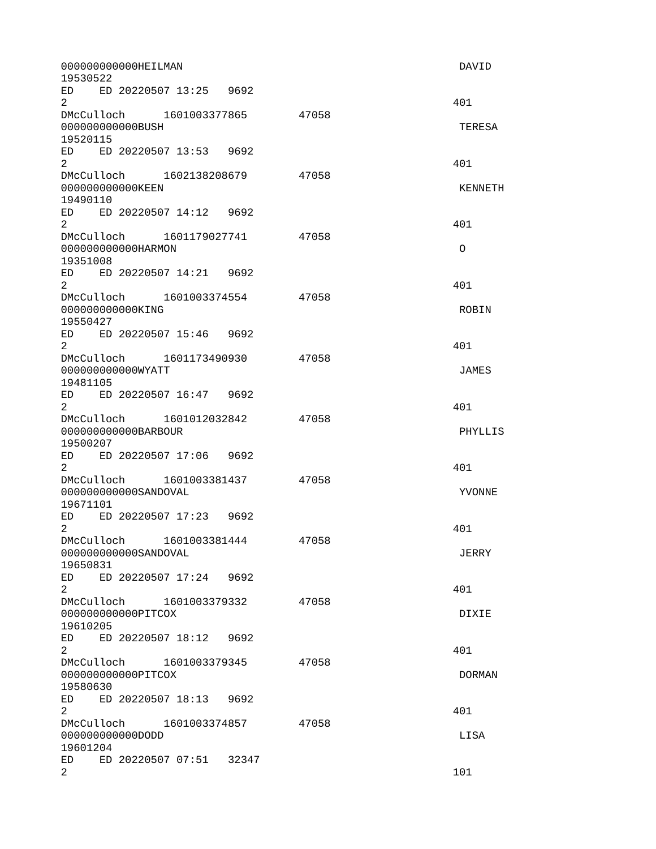000000000000HEILMAN DAVID 19530522 ED ED 20220507 13:25 9692  $2^{401}$ DMcCulloch 1601003377865 47058 000000000000BUSH TERESA 19520115 ED ED 20220507 13:53 9692  $2 \times 401$ DMcCulloch 1602138208679 47058 000000000000KEEN KENNETH 19490110 ED ED 20220507 14:12 9692  $2 \times 401$ DMcCulloch 1601179027741 47058 000000000000HARMON O 19351008 ED ED 20220507 14:21 9692  $2^{401}$ DMcCulloch 1601003374554 47058 000000000000000KING ROBIN ROBIN ROBIN 19550427 ED ED 20220507 15:46 9692  $2 \times 401$ DMcCulloch 1601173490930 47058 000000000000WYATT JAMES 19481105 ED ED 20220507 16:47 9692  $2^{401}$ DMcCulloch 1601012032842 47058 000000000000BARBOUR PHYLLIS 19500207 ED ED 20220507 17:06 9692  $2^{401}$ DMcCulloch 1601003381437 47058 000000000000SANDOVAL YVONNE 19671101 ED ED 20220507 17:23 9692  $2 \times 401$ DMcCulloch 1601003381444 47058 000000000000SANDOVAL JERRY 19650831 ED ED 20220507 17:24 9692  $2 \times 401$ DMcCulloch 1601003379332 47058 000000000000PITCOX DIXIE 19610205 ED ED 20220507 18:12 9692  $2^{401}$ DMcCulloch 1601003379345 47058 000000000000PITCOX DORMAN 19580630 ED ED 20220507 18:13 9692  $2 \times 401$ DMcCulloch 1601003374857 47058 000000000000DODD LISA 19601204 ED ED 20220507 07:51 32347  $2 \t 101$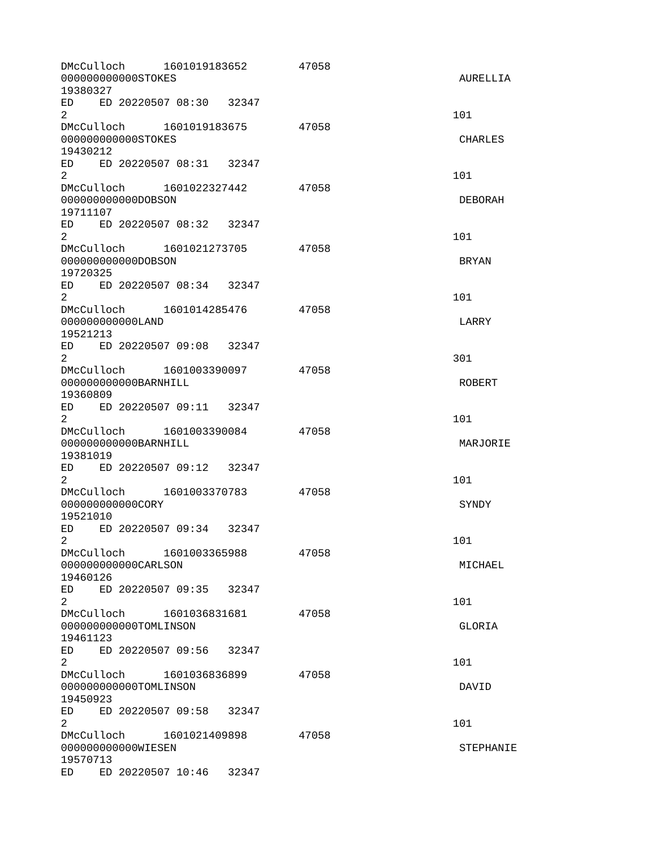| DMcCulloch 1601019183652<br>000000000000ST0KES<br>19380327                                                                                                                                                                                       |                         |               |       | 47058 | AURELLIA         |
|--------------------------------------------------------------------------------------------------------------------------------------------------------------------------------------------------------------------------------------------------|-------------------------|---------------|-------|-------|------------------|
| ED ED 20220507 08:30 32347<br>$\overline{2}$                                                                                                                                                                                                     |                         |               |       |       | 101              |
| DMcCulloch 1601019183675<br>000000000000ST0KES<br>19430212                                                                                                                                                                                       |                         |               |       | 47058 | <b>CHARLES</b>   |
| ED ED 20220507 08:31 32347<br>$\overline{2}$                                                                                                                                                                                                     |                         |               |       |       | 101              |
| DMcCulloch  1601022327442<br>000000000000D0BS0N<br>19711107                                                                                                                                                                                      |                         |               |       | 47058 | <b>DEBORAH</b>   |
| ED ED 20220507 08:32 32347<br>$2^{\circ}$                                                                                                                                                                                                        |                         |               |       |       | 101              |
| DMcCulloch 1601021273705<br>000000000000D0BS0N<br>19720325                                                                                                                                                                                       |                         |               |       | 47058 | <b>BRYAN</b>     |
| ED.<br>$\overline{2}$                                                                                                                                                                                                                            | ED 20220507 08:34 32347 |               |       |       | 101              |
| 000000000000LAND<br>19521213                                                                                                                                                                                                                     |                         |               |       | 47058 | LARRY            |
| ED ED 20220507 09:08 32347<br>$\overline{2}$                                                                                                                                                                                                     |                         |               |       |       | 301              |
| 000000000000BARNHILL<br>19360809                                                                                                                                                                                                                 |                         |               |       | 47058 | <b>ROBERT</b>    |
| ED ED 20220507 09:11 32347<br>$\overline{2}$                                                                                                                                                                                                     |                         |               |       |       | 101              |
| DMcCulloch 1601003390084<br>000000000000BARNHILL<br>19381019                                                                                                                                                                                     |                         |               |       | 47058 | MARJORIE         |
| ED<br>2                                                                                                                                                                                                                                          | ED 20220507 09:12 32347 |               |       |       | 101              |
| DMcCulloch 1601003370783<br>000000000000C0RY<br>19521010                                                                                                                                                                                         |                         |               |       | 47058 | <b>SYNDY</b>     |
| ED.<br>$\mathcal{P}$                                                                                                                                                                                                                             | ED 20220507 09:34 32347 |               |       |       | 101              |
| DMcCulloch<br>000000000000CARLSON<br>19460126                                                                                                                                                                                                    |                         | 1601003365988 |       | 47058 | MICHAEL          |
| ED<br>$\overline{2}$                                                                                                                                                                                                                             | ED 20220507 09:35 32347 |               |       |       | 101              |
| DMcCulloch 1601036831681<br>000000000000T0MLINSON<br>19461123                                                                                                                                                                                    |                         |               |       | 47058 | GLORIA           |
| ED ED 20220507 09:56<br>$\overline{2}$                                                                                                                                                                                                           |                         |               | 32347 |       | 101              |
| DMcCulloch 1601036836899<br>000000000000T0MLINSON<br>19450923                                                                                                                                                                                    |                         |               |       | 47058 | DAVID            |
| ED and the set of the set of the set of the set of the set of the set of the set of the set of the set of the set of the set of the set of the set of the set of the set of the set of the set of the set of the set of the se<br>$\overline{2}$ | ED 20220507 09:58       |               | 32347 |       | 101              |
| DMcCulloch 1601021409898<br>00000000000WIESEN<br>19570713                                                                                                                                                                                        |                         |               |       | 47058 | <b>STEPHANIE</b> |
| ED and the set of the set of the set of the set of the set of the set of the set of the set of the set of the set of the set of the set of the set of the set of the set of the set of the set of the set of the set of the se                   | ED 20220507 10:46       |               | 32347 |       |                  |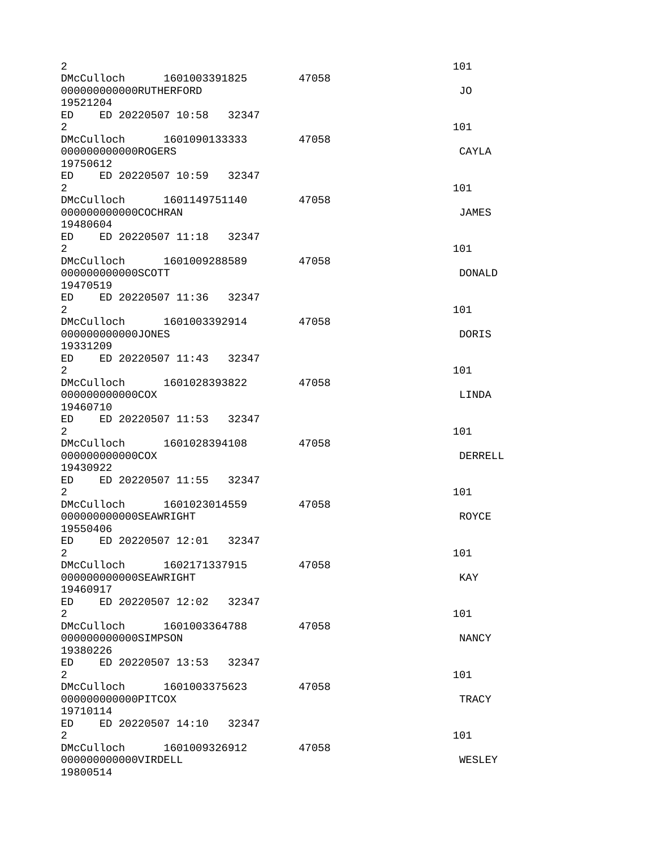| $\overline{c}$                                                              |       | 101            |
|-----------------------------------------------------------------------------|-------|----------------|
| DMcCulloch  1601003391825<br>000000000000RUTHERFORD<br>19521204             | 47058 | J0             |
| ED ED 20220507 10:58 32347                                                  |       |                |
| $\overline{2}$<br>DMcCulloch  1601090133333                                 | 47058 | 101            |
| 000000000000R0GERS<br>19750612                                              |       | CAYLA          |
| ED ED 20220507 10:59 32347<br>$\overline{2}$                                |       | 101            |
| DMcCulloch 1601149751140<br>000000000000COCHRAN                             | 47058 | <b>JAMES</b>   |
| 19480604<br>ED ED 20220507 11:18 32347<br>2                                 |       | 101            |
| DMcCulloch 1601009288589<br>000000000000SC0TT                               | 47058 | DONALD         |
| 19470519<br>ED ED 20220507 11:36 32347<br>$\overline{2}$                    |       | 101            |
| DMcCulloch 1601003392914<br>000000000000JONES                               | 47058 | <b>DORIS</b>   |
| 19331209<br>ED ED 20220507 11:43 32347<br>2                                 |       | 101            |
| DMcCulloch 1601028393822<br>000000000000C0X                                 | 47058 | LINDA          |
| 19460710<br>ED ED 20220507 11:53 32347<br>$\overline{2}$                    |       | 101            |
| DMcCulloch 1601028394108<br>000000000000COX<br>19430922                     | 47058 | <b>DERRELL</b> |
| ED ED 20220507 11:55 32347<br>2                                             |       | 101            |
| DMcCulloch 1601023014559<br>000000000000SEAWRIGHT<br>19550406               | 47058 | <b>ROYCE</b>   |
| ED ED 20220507 12:01<br>32347<br>2                                          |       | 101            |
| DMcCulloch 1602171337915<br>000000000000SEAWRIGHT<br>19460917               | 47058 | <b>KAY</b>     |
| ED<br>ED 20220507 12:02 32347<br>$\overline{2}$                             |       | 101            |
| DMcCulloch 1601003364788<br>000000000000SIMPSON<br>19380226                 | 47058 | NANCY          |
| ED ED 20220507 13:53 32347<br>$\overline{2}$                                |       | 101            |
| DMcCulloch<br>1601003375623<br>00000000000PITC0X<br>19710114                | 47058 | <b>TRACY</b>   |
| ED<br>ED 20220507 14:10 32347<br>$\overline{2}$<br>DMcCulloch 1601009326912 |       | 101            |
| 000000000000VIRDELL<br>19800514                                             | 47058 | <b>WESLEY</b>  |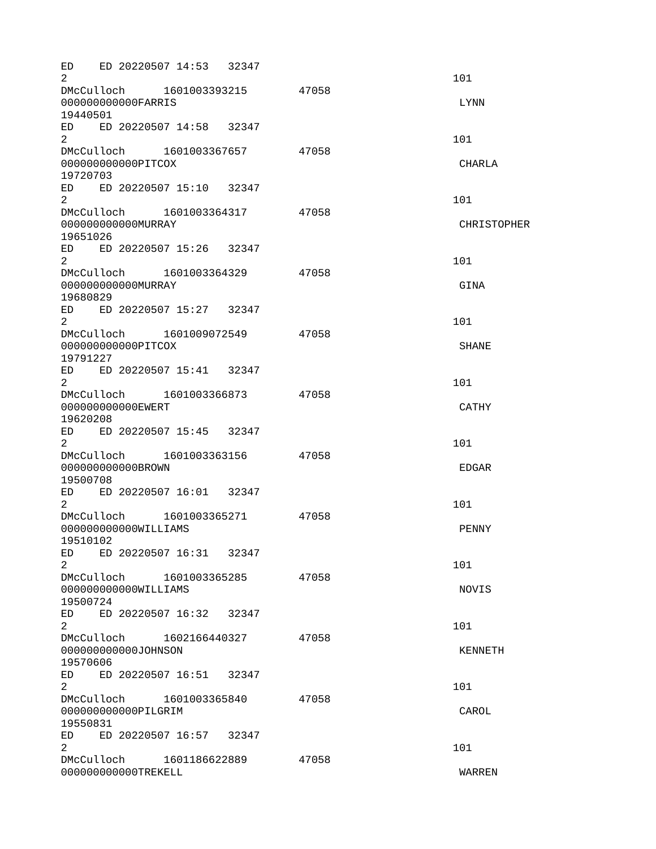ED ED 20220507 14:53 32347  $2 \t 101$ DMcCulloch 1601003393215 47058 000000000000FARRIS LYNN 19440501 ED ED 20220507 14:58 32347  $2 \t 101$ DMcCulloch 1601003367657 47058 000000000000PITCOX CHARLA 19720703 ED ED 20220507 15:10 32347  $2 \t 101$ DMcCulloch 1601003364317 47058 0000000000000MURRAY CHRISTOPHER 19651026 ED ED 20220507 15:26 32347  $2 \t 101$ DMcCulloch 1601003364329 47058 000000000000000MURRAY 61NA 19680829 ED ED 20220507 15:27 32347  $2 \t 101$ DMcCulloch 1601009072549 47058 000000000000PITCOX SHANE 19791227 ED ED 20220507 15:41 32347  $2 \t 101$ DMcCulloch 1601003366873 47058 000000000000EWERT CATHY 19620208 ED ED 20220507 15:45 32347  $2 \t 101$ DMcCulloch 1601003363156 47058 000000000000BROWN EDGAR 19500708 ED ED 20220507 16:01 32347  $2 \t 101$ DMcCulloch 1601003365271 47058 000000000000WILLIAMS PENNY 19510102 ED ED 20220507 16:31 32347  $2 \t 101$ DMcCulloch 1601003365285 47058 000000000000WILLIAMS NOVIS 19500724 ED ED 20220507 16:32 32347  $2 \t 101$ DMcCulloch 1602166440327 47058 000000000000JOHNSON KENNETH 19570606 ED ED 20220507 16:51 32347  $2 \t 101$ DMcCulloch 1601003365840 47058 000000000000PILGRIM CAROL 19550831 ED ED 20220507 16:57 32347  $2 \t 101$ DMcCulloch 1601186622889 47058 000000000000TREKELL WARREN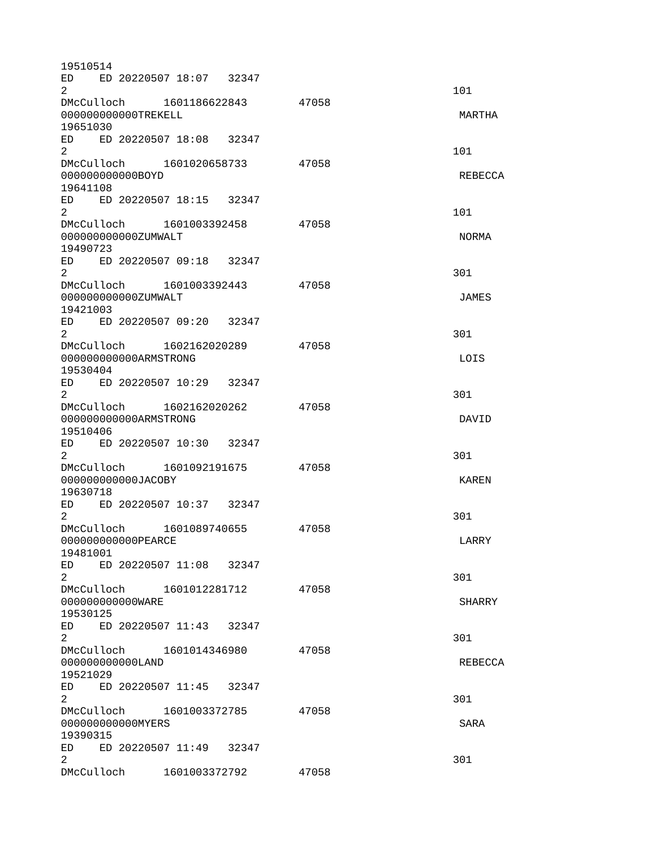19510514 ED ED 20220507 18:07 32347  $2 \t 101$ DMcCulloch 1601186622843 47058 000000000000TREKELL MARTHA 19651030 ED ED 20220507 18:08 32347  $2 \t 101$ DMcCulloch 1601020658733 47058 000000000000BOYD REBECCA 19641108 ED ED 20220507 18:15 32347  $2 \t 101$ DMcCulloch 1601003392458 47058 00000000000002UMWALT NORMA NORMA NORMA 19490723 ED ED 20220507 09:18 32347  $2\,$ DMcCulloch 1601003392443 47058 000000000000ZUMWALT JAMES 19421003 ED ED 20220507 09:20 32347  $2\,$ DMcCulloch 1602162020289 47058 000000000000ARMSTRONG LOIS 19530404 ED ED 20220507 10:29 32347  $2\,$ DMcCulloch 1602162020262 47058 000000000000ARMSTRONG DAVID 19510406 ED ED 20220507 10:30 32347  $2\,$ DMcCulloch 1601092191675 47058 000000000000JACOBY KAREN 19630718 ED ED 20220507 10:37 32347  $2\,$ DMcCulloch 1601089740655 47058 000000000000PEARCE LARRY 19481001 ED ED 20220507 11:08 32347  $2\,$ DMcCulloch 1601012281712 47058 000000000000WARE SHARRY 19530125 ED ED 20220507 11:43 32347  $2\,$ DMcCulloch 1601014346980 47058 000000000000LAND REBECCA 19521029 ED ED 20220507 11:45 32347  $2\,$ DMcCulloch 1601003372785 47058 000000000000MYERS SARA 19390315 ED ED 20220507 11:49 32347  $2\,$ DMcCulloch 1601003372792 47058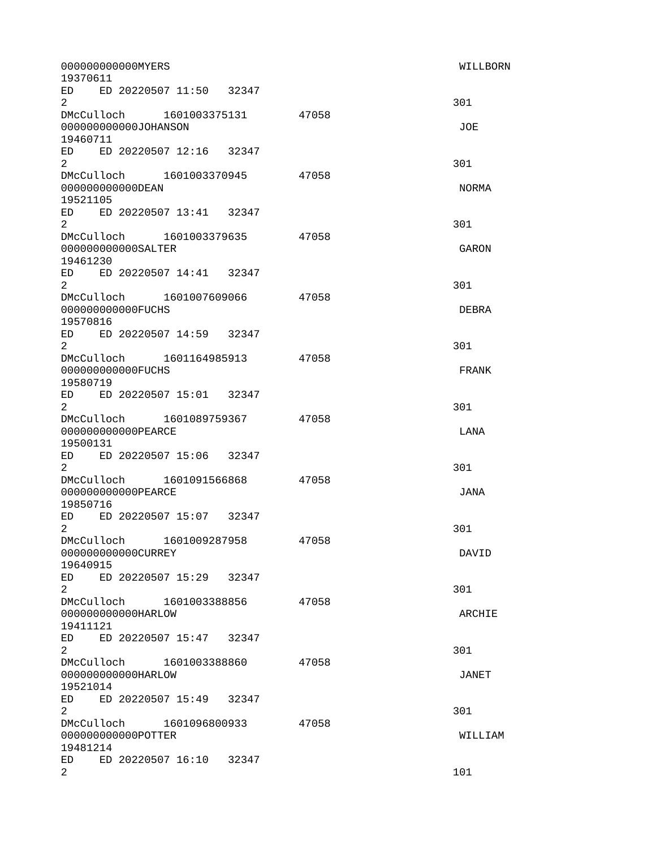| 000000000000MYERS<br>19370611                                      |               |       | WILLBORN     |
|--------------------------------------------------------------------|---------------|-------|--------------|
| ED ED 20220507 11:50 32347<br>$2^{\circ}$                          |               |       | 301          |
| DMcCulloch 1601003375131 47058<br>000000000000J0HANSON<br>19460711 |               |       | J0E          |
| ED ED 20220507 12:16 32347<br>$2^{\circ}$                          |               |       | 301          |
| DMcCulloch 1601003370945 47058<br>000000000000DEAN<br>19521105     |               |       | <b>NORMA</b> |
| ED ED 20220507 13:41 32347<br>$2^{\circ}$                          |               |       | 301          |
| DMcCulloch 1601003379635 47058<br>000000000000SALTER<br>19461230   |               |       | GARON        |
| ED ED 20220507 14:41 32347<br>$\mathbf{2}$                         |               |       | 301          |
| DMcCulloch 1601007609066 47058<br>00000000000FUCHS<br>19570816     |               |       | <b>DEBRA</b> |
| ED ED 20220507 14:59 32347<br>$2^{\circ}$                          |               |       | 301          |
| DMcCulloch 1601164985913 47058<br>00000000000FUCHS<br>19580719     |               |       | <b>FRANK</b> |
| ED ED 20220507 15:01 32347<br>$\mathbf{2}$                         |               |       | 301          |
| DMcCulloch 1601089759367 47058<br>00000000000PEARCE<br>19500131    |               |       | LANA         |
| ED ED 20220507 15:06 32347<br>$\overline{2}$                       |               |       | 301          |
| DMcCulloch 1601091566868 47058<br>00000000000PEARCE<br>19850716    |               |       | <b>JANA</b>  |
| ED ED 20220507 15:07 32347<br>2                                    |               |       | 301          |
| DMcCulloch 1601009287958<br>000000000000CURREY<br>19640915         |               | 47058 | DAVID        |
| ED ED 20220507 15:29 32347<br>$\overline{2}$                       |               |       | 301          |
| DMcCulloch<br>000000000000HARLOW<br>19411121                       | 1601003388856 | 47058 | ARCHIE       |
| ED<br>ED 20220507 15:47 32347<br>$\overline{2}$                    |               |       | 301          |
| DMcCulloch 1601003388860<br>000000000000HARLOW<br>19521014         |               | 47058 | JANET        |
| ED ED 20220507 15:49 32347<br>$\overline{2}$                       |               |       | 301          |
| DMcCulloch<br>00000000000P0TTER<br>19481214                        | 1601096800933 | 47058 | WILLIAM      |
| ED 20220507 16:10<br>ED.<br>$\overline{c}$                         | 32347         |       | 101          |